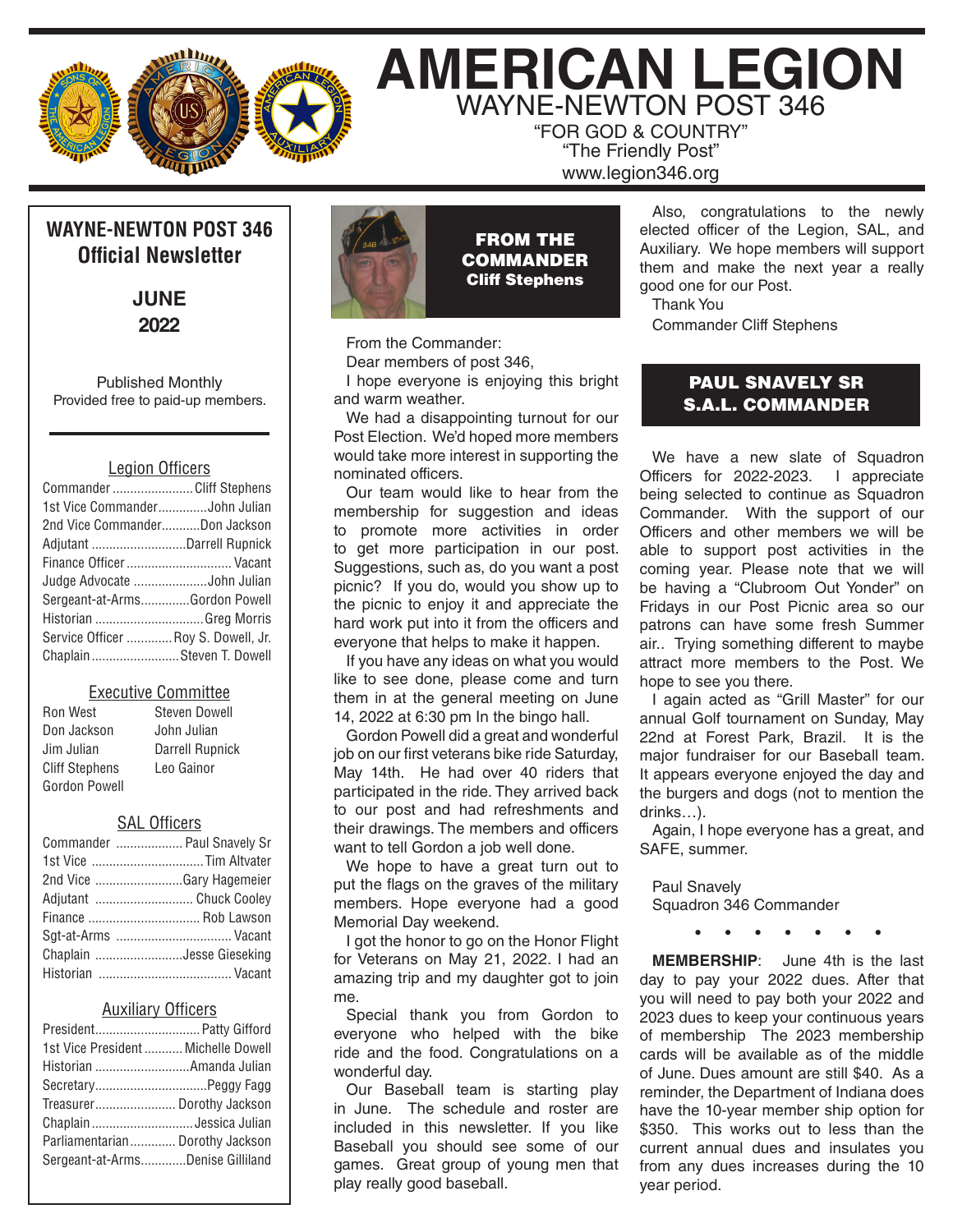

# **AMERICAN LEGION** WAYNE-NEWTON POST 346

"FOR GOD & COUNTRY" "The Friendly Post" www.legion346.org

# **WAYNE-NEWTON POST 346 Official Newsletter**

**JUNE 2022**

Published Monthly Provided free to paid-up members.

#### Legion Officers

| Commander Cliff Stephens            |  |
|-------------------------------------|--|
| 1st Vice CommanderJohn Julian       |  |
| 2nd Vice CommanderDon Jackson       |  |
| Adjutant Darrell Rupnick            |  |
| Finance Officer  Vacant             |  |
| Judge Advocate John Julian          |  |
| Sergeant-at-ArmsGordon Powell       |  |
| Historian Greg Morris               |  |
| Service Officer  Roy S. Dowell, Jr. |  |
| ChaplainSteven T. Dowell            |  |

#### Executive Committee

| Ron West              | <b>Steven Dowell</b>   |
|-----------------------|------------------------|
| Don Jackson           | John Julian            |
| Jim Julian            | <b>Darrell Rupnick</b> |
| <b>Cliff Stephens</b> | Leo Gainor             |
| Gordon Powell         |                        |

#### SAL Officers

| Commander  Paul Snavely Sr |  |
|----------------------------|--|
|                            |  |
| 2nd Vice Gary Hagemeier    |  |
| Adjutant  Chuck Cooley     |  |
| Finance  Rob Lawson        |  |
| Sqt-at-Arms  Vacant        |  |
| Chaplain Jesse Gieseking   |  |
|                            |  |

#### Auxiliary Officers

| President Patty Gifford             |  |
|-------------------------------------|--|
| 1st Vice President  Michelle Dowell |  |
| Historian Amanda Julian             |  |
|                                     |  |
| Treasurer Dorothy Jackson           |  |
| Chaplain  Jessica Julian            |  |
| Parliamentarian Dorothy Jackson     |  |
| Sergeant-at-ArmsDenise Gilliland    |  |
|                                     |  |



FROM THE **COMMANDER** Cliff Stephens

From the Commander:

Dear members of post 346,

I hope everyone is enjoying this bright and warm weather.

We had a disappointing turnout for our Post Election. We'd hoped more members would take more interest in supporting the nominated officers.

Our team would like to hear from the membership for suggestion and ideas to promote more activities in order to get more participation in our post. Suggestions, such as, do you want a post picnic? If you do, would you show up to the picnic to enjoy it and appreciate the hard work put into it from the officers and everyone that helps to make it happen.

If you have any ideas on what you would like to see done, please come and turn them in at the general meeting on June 14, 2022 at 6:30 pm In the bingo hall.

Gordon Powell did a great and wonderful job on our first veterans bike ride Saturday, May 14th. He had over 40 riders that participated in the ride. They arrived back to our post and had refreshments and their drawings. The members and officers want to tell Gordon a job well done.

We hope to have a great turn out to put the flags on the graves of the military members. Hope everyone had a good Memorial Day weekend.

I got the honor to go on the Honor Flight for Veterans on May 21, 2022. I had an amazing trip and my daughter got to join me.

Special thank you from Gordon to everyone who helped with the bike ride and the food. Congratulations on a wonderful day.

Our Baseball team is starting play in June. The schedule and roster are included in this newsletter. If you like Baseball you should see some of our games. Great group of young men that play really good baseball.

Also, congratulations to the newly elected officer of the Legion, SAL, and Auxiliary. We hope members will support them and make the next year a really good one for our Post.

Thank You Commander Cliff Stephens

### PAUL SNAVELY SR S.A.L. COMMANDER

We have a new slate of Squadron Officers for 2022-2023. I appreciate being selected to continue as Squadron Commander. With the support of our Officers and other members we will be able to support post activities in the coming year. Please note that we will be having a "Clubroom Out Yonder" on Fridays in our Post Picnic area so our patrons can have some fresh Summer air.. Trying something different to maybe attract more members to the Post. We hope to see you there.

I again acted as "Grill Master" for our annual Golf tournament on Sunday, May 22nd at Forest Park, Brazil. It is the major fundraiser for our Baseball team. It appears everyone enjoyed the day and the burgers and dogs (not to mention the drinks…).

Again, I hope everyone has a great, and SAFE, summer.

Paul Snavely Squadron 346 Commander

**• • • • • • •** 

**MEMBERSHIP**: June 4th is the last day to pay your 2022 dues. After that you will need to pay both your 2022 and 2023 dues to keep your continuous years of membership The 2023 membership cards will be available as of the middle of June. Dues amount are still \$40. As a reminder, the Department of Indiana does have the 10-year member ship option for \$350. This works out to less than the current annual dues and insulates you from any dues increases during the 10 year period.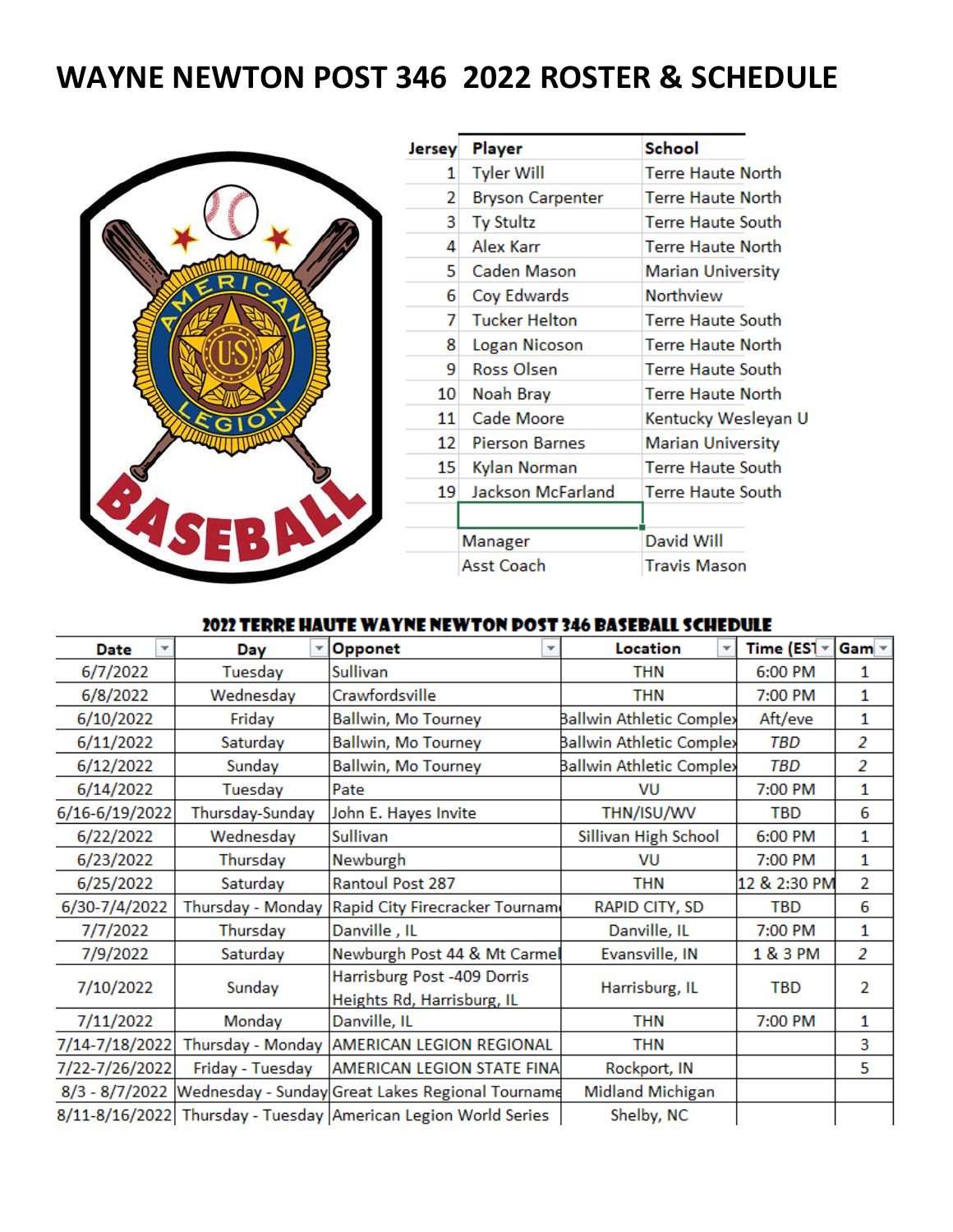# **WAYNE NEWTON POST 346 2022 ROSTER & SCHEDULE**



| Jersey | Player                  | School                   |
|--------|-------------------------|--------------------------|
| 1      | <b>Tyler Will</b>       | <b>Terre Haute North</b> |
| 2      | <b>Bryson Carpenter</b> | Terre Haute North        |
| 3      | <b>Ty Stultz</b>        | Terre Haute South        |
| 4      | Alex Karr               | Terre Haute North        |
| 5.     | Caden Mason             | <b>Marian University</b> |
| 6      | Coy Edwards             | Northview                |
| 7      | <b>Tucker Helton</b>    | Terre Haute South        |
| 8      | Logan Nicoson           | Terre Haute North        |
| 9      | Ross Olsen              | <b>Terre Haute South</b> |
| 10     | Noah Bray               | Terre Haute North        |
| 11     | Cade Moore              | Kentucky Wesleyan U      |
| 12.    | <b>Pierson Barnes</b>   | <b>Marian University</b> |
| 15     | Kylan Norman            | <b>Terre Haute South</b> |
| 19     | Jackson McFarland       | Terre Haute South        |
|        |                         |                          |
|        | Manager                 | David Will               |
|        | Asst Coach              | Travis Mason             |
|        |                         |                          |

## 2022 TERRE HAUTE WAYNE NEWTON DOST 346 BASEBALL SCHEDULE

| Date<br>v        | Day              | Opponet<br>÷                                                   | Location                 | Time (ES1 $\sim$ | Gam $\sqrt{ }$ |
|------------------|------------------|----------------------------------------------------------------|--------------------------|------------------|----------------|
| 6/7/2022         | Tuesday          | Sullivan                                                       | THN                      | 6:00 PM          | 1              |
| 6/8/2022         | Wednesday        | Crawfordsville                                                 | <b>THN</b>               | 7:00 PM          | 1              |
| 6/10/2022        | Friday           | <b>Ballwin, Mo Tourney</b>                                     | Ballwin Athletic Complex | Aft/eve          | 1              |
| 6/11/2022        | Saturday         | <b>Ballwin, Mo Tourney</b>                                     | Ballwin Athletic Complex | TBD              | $\overline{2}$ |
| 6/12/2022        | Sunday           | <b>Ballwin, Mo Tourney</b>                                     | Ballwin Athletic Complex | TBD              | 2              |
| 6/14/2022        | Tuesday          | Pate                                                           | VU                       | 7:00 PM          | 1              |
| 6/16-6/19/2022   | Thursday-Sunday  | John E. Hayes Invite                                           | THN/ISU/WV               | TBD              | 6              |
| 6/22/2022        | Wednesday        | Sullivan                                                       | Sillivan High School     | 6:00 PM          | 1              |
| 6/23/2022        | Thursday         | Newburgh                                                       | VU                       | 7:00 PM          | 1              |
| 6/25/2022        | Saturday         | <b>Rantoul Post 287</b>                                        | <b>THN</b>               | 12 & 2:30 PM     | 2              |
| 6/30-7/4/2022    |                  | Thursday - Monday Rapid City Firecracker Tournam               | RAPID CITY, SD           | <b>TBD</b>       | 6              |
| 7/7/2022         | Thursday         | Danville, IL                                                   | Danville, IL             | 7:00 PM          | 1              |
| 7/9/2022         | Saturday         | Newburgh Post 44 & Mt Carmel                                   | Evansville, IN           | 1 & 3 PM         | 2              |
| 7/10/2022        | Sunday           | Harrisburg Post -409 Dorris                                    | Harrisburg, IL           | TBD              | 2              |
|                  |                  | Heights Rd, Harrisburg, IL                                     |                          |                  |                |
| 7/11/2022        | Monday           | Danville, IL                                                   | <b>THN</b>               | 7:00 PM          | 1              |
| 7/14-7/18/2022   |                  | Thursday - Monday AMERICAN LEGION REGIONAL                     | <b>THN</b>               |                  | 3              |
| 7/22-7/26/2022   | Friday - Tuesday | AMERICAN LEGION STATE FINA                                     | Rockport, IN             |                  | 5              |
| $8/3 - 8/7/2022$ |                  | Wednesday - Sunday Great Lakes Regional Tourname               | <b>Midland Michigan</b>  |                  |                |
|                  |                  | 8/11-8/16/2022 Thursday - Tuesday American Legion World Series | Shelby, NC               |                  |                |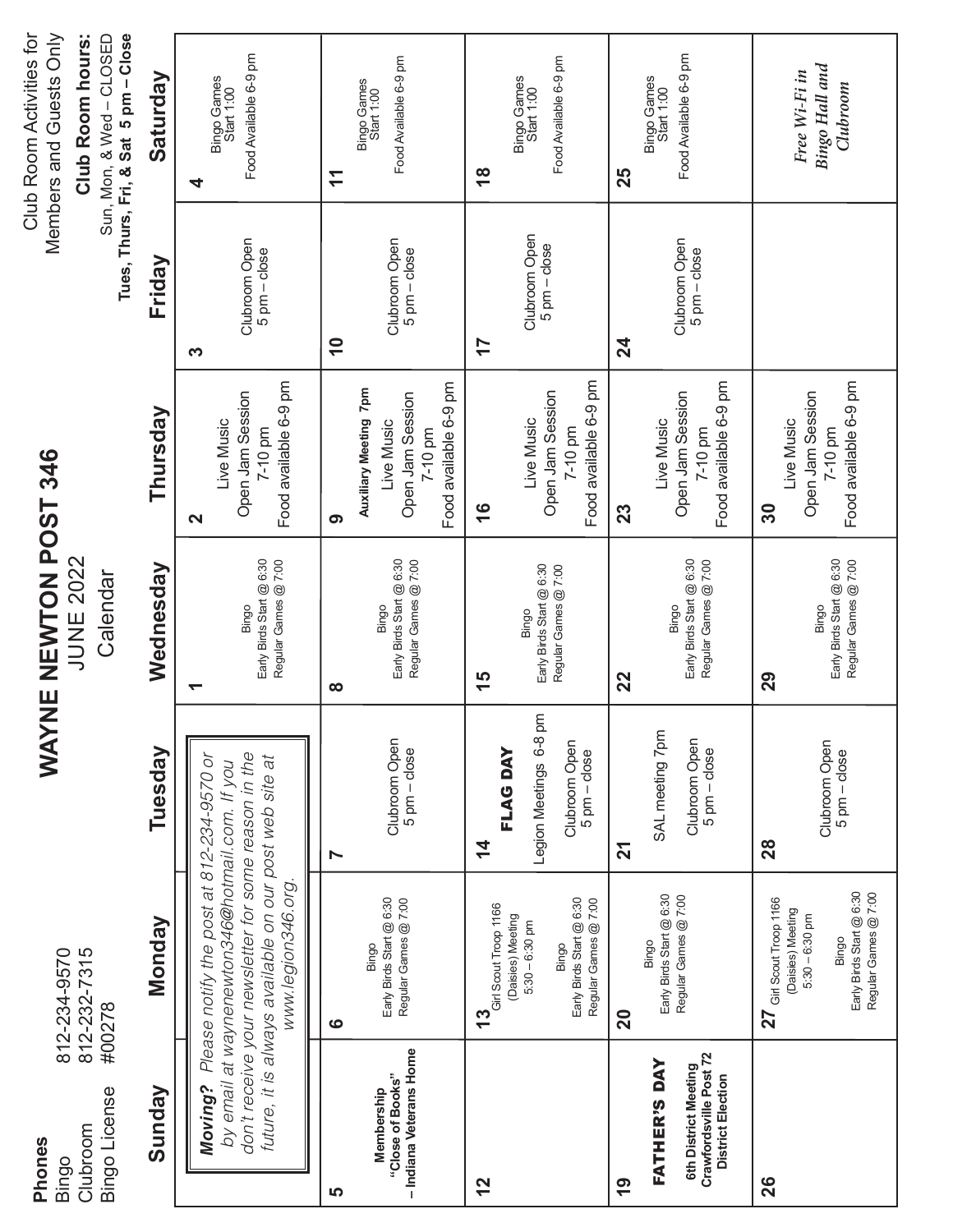| Phones<br>Bingo                                                                            | 812-234-9570                                                                                                                                                                                                                        | <b>IXAW</b>                                                              | NE NEWTON POST 346                                        |                                                                                             |                                                     | Club Room Activities for<br>Members and Guests Only                                  |
|--------------------------------------------------------------------------------------------|-------------------------------------------------------------------------------------------------------------------------------------------------------------------------------------------------------------------------------------|--------------------------------------------------------------------------|-----------------------------------------------------------|---------------------------------------------------------------------------------------------|-----------------------------------------------------|--------------------------------------------------------------------------------------|
| Bingo License<br>Clubroom                                                                  | 812-232-7315<br>#00278                                                                                                                                                                                                              |                                                                          | <b>JUNE 2022</b><br>Calendar                              |                                                                                             |                                                     | Tues, Thurs, Fri, & Sat 5 pm - Close<br>Sun, Mon, & Wed - CLOSED<br>Club Room hours: |
| Sunday                                                                                     | Monday                                                                                                                                                                                                                              | Tuesday                                                                  | Wednesday                                                 | Thursday                                                                                    | Friday                                              | Saturday                                                                             |
| Moving?                                                                                    | don't receive your newsletter for some reason in the<br>Please notify the post at 812-234-9570 or<br>future, it is always available on our post web site at<br>by email at waynenewton346@hotmail.com. If you<br>www.legion346.org. |                                                                          | Regular Games @ 7:00<br>Early Birds Start @ 6:30<br>Bingo | Food available 6-9 pm<br>Open Jam Session<br>Live Music<br>7-10 pm<br>N                     | Clubroom Open<br>$5 \text{ pm} - \text{close}$<br>က | Food Available 6-9 pm<br>Bingo Games<br>Start 1:00<br>4                              |
| <u> ဟ</u>                                                                                  | $\boldsymbol{\omega}$                                                                                                                                                                                                               | Ņ                                                                        | œ                                                         | ၈                                                                                           | $\tilde{=}$                                         | Ξ                                                                                    |
| - Indiana Veterans Home<br>"Close of Books"<br>Membership                                  | Early Birds Start @ 6:30<br>Regular Games @ 7:00<br>Bingo                                                                                                                                                                           | Clubroom Open<br>$5$ pm $-$ close                                        | Early Birds Start @ 6:30<br>Regular Games @ 7:00<br>Bingo | Food available 6-9 pm<br>Auxiliary Meeting 7pm<br>Open Jam Session<br>Live Music<br>7-10 pm | Clubroom Open<br>$5 \text{ pm} - \text{close}$      | Food Available 6-9 pm<br>Bingo Games<br>Start 1:00                                   |
| $\frac{2}{3}$                                                                              | 13 $_{\rm G}$ irl Scout Troop 1166<br>(Daisies) Meeting                                                                                                                                                                             | <b>FLAG DAY</b><br>4                                                     | 15                                                        | $\frac{6}{1}$                                                                               | 77                                                  | $\frac{8}{1}$                                                                        |
|                                                                                            | Early Birds Start @ 6:30<br>Regular Games @ 7:00<br>$5:30 - 6:30$ pm<br>Bingo                                                                                                                                                       | Legion Meetings 6-8 pm<br>Clubroom Open<br>$5 \text{ pm} - \text{close}$ | Early Birds Start @ 6:30<br>Regular Games @ 7:00<br>Bingo | Food available 6-9 pm<br>Open Jam Session<br>Live Music<br>7-10 pm                          | Clubroom Open<br>$5$ pm $-$ close                   | Food Available 6-9 pm<br>Bingo Games<br>Start 1:00                                   |
| $\overline{9}$                                                                             | 20                                                                                                                                                                                                                                  | $\overline{\bf 2}$                                                       | 22                                                        | 23                                                                                          | 24                                                  | 25                                                                                   |
| Crawfordsville Post 72<br>District Election<br><b>FATHER'S DAY</b><br>6th District Meeting | Early Birds Start @ 6:30<br>Regular Games @ 7:00<br>Bingo                                                                                                                                                                           | SAL meeting 7pm<br>Clubroom Open<br>$5$ pm $-$ close                     | Early Birds Start @ 6:30<br>Regular Games @ 7:00<br>Bingo | Food available 6-9 pm<br>Open Jam Session<br>Live Music<br>$7-10$ pm                        | Clubroom Open<br>$5 \text{ pm} - \text{close}$      | Food Available 6-9 pm<br>Bingo Games<br>Start 1:00                                   |
| 26                                                                                         | $27\,$ Girl Scout Troop 1166<br>(Daisies) Meeting                                                                                                                                                                                   | 28                                                                       | 29                                                        | Live Music<br>30                                                                            |                                                     |                                                                                      |
|                                                                                            | Early Birds Start @ 6:30<br>Regular Games @ 7:00<br>$5:30 - 6:30$ pm<br>Bingo                                                                                                                                                       | Clubroom Open<br>5 pm - close                                            | Regular Games @ 7:00<br>Early Birds Start @ 6:30<br>Bingo | Food available 6-9 pm<br>Open Jam Session<br>7-10 pm                                        |                                                     | Bingo Hall and<br>Free Wi-Fi in<br>Clubroom                                          |